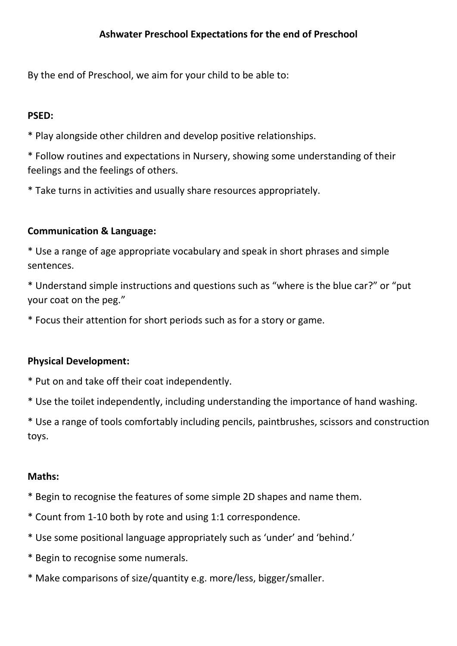By the end of Preschool, we aim for your child to be able to:

# **PSED:**

\* Play alongside other children and develop positive relationships.

\* Follow routines and expectations in Nursery, showing some understanding of their feelings and the feelings of others.

\* Take turns in activities and usually share resources appropriately.

### **Communication & Language:**

\* Use a range of age appropriate vocabulary and speak in short phrases and simple sentences.

\* Understand simple instructions and questions such as "where is the blue car?" or "put your coat on the peg."

\* Focus their attention for short periods such as for a story or game.

# **Physical Development:**

\* Put on and take off their coat independently.

\* Use the toilet independently, including understanding the importance of hand washing.

\* Use a range of tools comfortably including pencils, paintbrushes, scissors and construction toys.

# **Maths:**

- \* Begin to recognise the features of some simple 2D shapes and name them.
- \* Count from 1-10 both by rote and using 1:1 correspondence.
- \* Use some positional language appropriately such as 'under' and 'behind.'
- \* Begin to recognise some numerals.
- \* Make comparisons of size/quantity e.g. more/less, bigger/smaller.